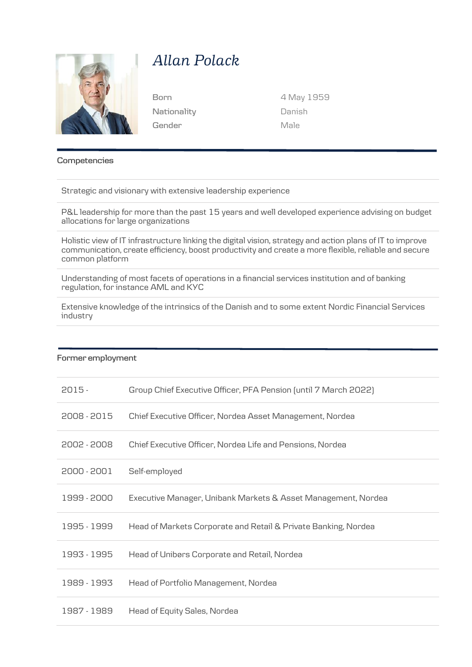

# *Allan Polack*

**Nationality Gender**

**Born** 4 May 1959 Danish Male

### **Competencies**

Strategic and visionary with extensive leadership experience

P&L leadership for more than the past 15 years and well developed experience advising on budget allocations for large organizations

Holistic view of IT infrastructure linking the digital vision, strategy and action plans of IT to improve communication, create efficiency, boost productivity and create a more flexible, reliable and secure common platform

Understanding of most facets of operations in a financial services institution and of banking regulation, for instance AML and KYC

Extensive knowledge of the intrinsics of the Danish and to some extent Nordic Financial Services industry

#### **Former employment**

| $2015 -$    | Group Chief Executive Officer, PFA Pension (until 7 March 2022) |
|-------------|-----------------------------------------------------------------|
| 2008 - 2015 | Chief Executive Officer, Nordea Asset Management, Nordea        |
| 2002 - 2008 | Chief Executive Officer, Nordea Life and Pensions, Nordea       |
| 2000 - 2001 | Self-employed                                                   |
| 1999 - 2000 | Executive Manager, Unibank Markets & Asset Management, Nordea   |
| 1995 - 1999 | Head of Markets Corporate and Retail & Private Banking, Nordea  |
| 1993 - 1995 | Head of Unibørs Corporate and Retail, Nordea                    |
| 1989 - 1993 | Head of Portfolio Management, Nordea                            |
| 1987 - 1989 | Head of Equity Sales, Nordea                                    |